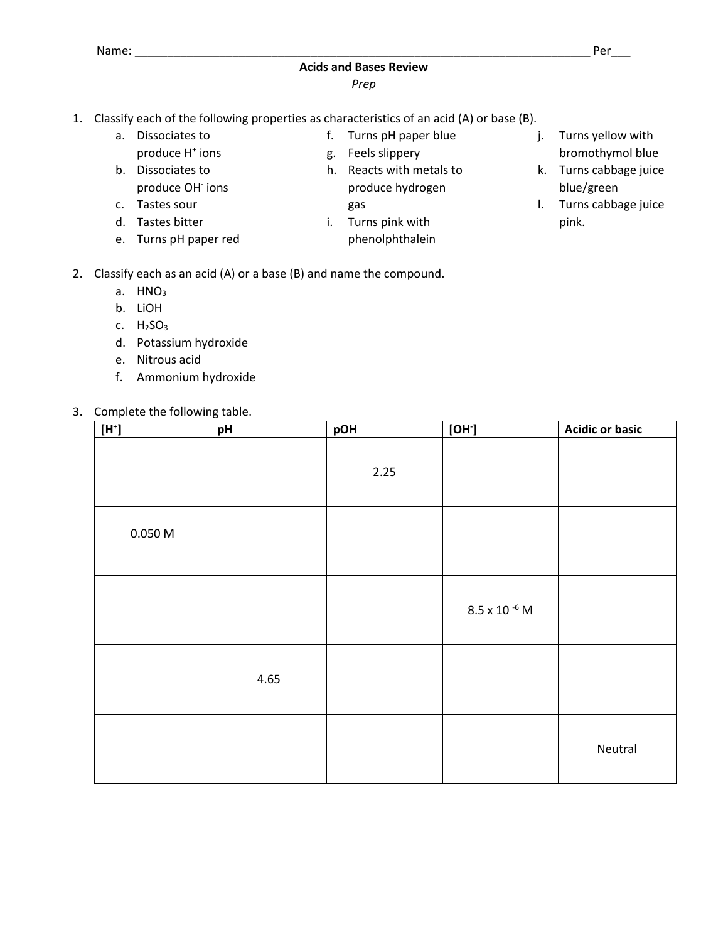## **Acids and Bases Review**

## *Prep*

- 1. Classify each of the following properties as characteristics of an acid (A) or base (B).
	- a. Dissociates to
	- produce H<sup>+</sup> ions
	- b. Dissociates to produce OH<sup>-</sup> ions
	- c. Tastes sour
	- d. Tastes bitter
	- e. Turns pH paper red
- f. Turns pH paper blue g. Feels slippery
- h. Reacts with metals to produce hydrogen gas
- i. Turns pink with phenolphthalein
- j. Turns yellow with bromothymol blue
- k. Turns cabbage juice blue/green
- l. Turns cabbage juice pink.

- 2. Classify each as an acid (A) or a base (B) and name the compound.
	- a.  $HNO<sub>3</sub>$
	- b. LiOH
	- c.  $H<sub>2</sub>SO<sub>3</sub>$
	- d. Potassium hydroxide
	- e. Nitrous acid
	- f. Ammonium hydroxide
- 3. Complete the following table.

| $[{\sf H}^*]$       | pH   | pOH  | [OH]                   | <b>Acidic or basic</b> |
|---------------------|------|------|------------------------|------------------------|
|                     |      | 2.25 |                        |                        |
| $0.050\ \mathrm{M}$ |      |      |                        |                        |
|                     |      |      | $8.5 \times 10^{-6}$ M |                        |
|                     | 4.65 |      |                        |                        |
|                     |      |      |                        | Neutral                |